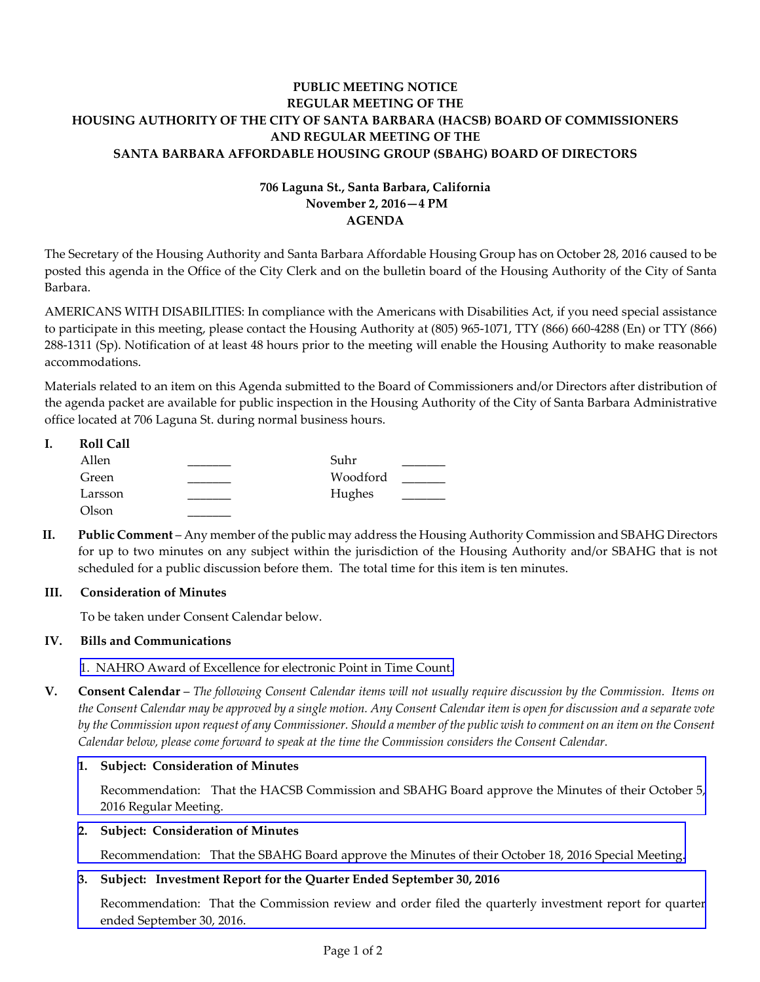# **PUBLIC MEETING NOTICE REGULAR MEETING OF THE HOUSING AUTHORITY OF THE CITY OF SANTA BARBARA (HACSB) BOARD OF COMMISSIONERS AND REGULAR MEETING OF THE SANTA BARBARA AFFORDABLE HOUSING GROUP (SBAHG) BOARD OF DIRECTORS**

# **706 Laguna St., Santa Barbara, California November 2, 2016—4 PM AGENDA**

The Secretary of the Housing Authority and Santa Barbara Affordable Housing Group has on October 28, 2016 caused to be posted this agenda in the Office of the City Clerk and on the bulletin board of the Housing Authority of the City of Santa Barbara.

AMERICANS WITH DISABILITIES: In compliance with the Americans with Disabilities Act, if you need special assistance to participate in this meeting, please contact the Housing Authority at (805) 965‐1071, TTY (866) 660‐4288 (En) or TTY (866) 288‐1311 (Sp). Notification of at least 48 hours prior to the meeting will enable the Housing Authority to make reasonable accommodations.

Materials related to an item on this Agenda submitted to the Board of Commissioners and/or Directors after distribution of the agenda packet are available for public inspection in the Housing Authority of the City of Santa Barbara Administrative office located at 706 Laguna St. during normal business hours.

| ı. | <b>Roll Call</b> |          |  |
|----|------------------|----------|--|
|    | Allen            | Suhr     |  |
|    | Green            | Woodford |  |
|    | Larsson          | Hughes   |  |
|    | Olson            |          |  |

**II. Public Comment** – Any member of the public may address the Housing Authority Commission and SBAHG Directors for up to two minutes on any subject within the jurisdiction of the Housing Authority and/or SBAHG that is not scheduled for a public discussion before them. The total time for this item is ten minutes.

## **III. Consideration of Minutes**

To be taken under Consent Calendar below.

## **IV. Bills and Communications**

1. NAHRO Award of [Excellence](http://hacsb.org/download/meetings_2016_2/items/11_november/item_IV_I_2016_11_02.pdf) for electronic Point in Time Count.

V. Consent Calendar – The following Consent Calendar items will not usually require discussion by the Commission. Items on the Consent Calendar may be approved by a single motion. Any Consent Calendar item is open for discussion and a separate vote by the Commission upon request of any Commissioner. Should a member of the public wish to comment on an item on the Consent *Calendar below, please come forward to speak at the time the Commission considers the Consent Calendar.*

## **1. Subject: Consideration of Minutes**

[Recommendation:](http://hacsb.org/download/meetings_2016_2/items/11_november/item_V_I_2016_11_02.pdf) That the HACSB Commission and SBAHG Board approve the Minutes of their October 5, 2016 Regular Meeting.

## **2. Subject: Consideration of Minutes**

[Recommendation:](http://hacsb.org/download/meetings_2016_2/items/11_november/item_V_II_2016_11_02.pdf) That the SBAHG Board approve the Minutes of their October 18, 2016 Special Meeting.

# **3. Subject: Investment Report for the Quarter Ended September 30, 2016**

[Recommendation:](http://hacsb.org/download/meetings_2016_2/items/11_november/item_V_III_2016_11_02.pdf) That the Commission review and order filed the quarterly investment report for quarter ended September 30, 2016.